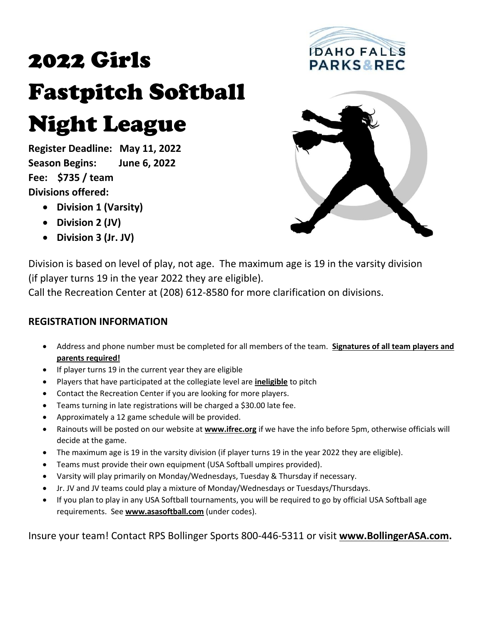# 2022 Girls Fastpitch Softball Night League

**Register Deadline: May 11, 2022 Season Begins: June 6, 2022 Fee: \$735 / team Divisions offered:**

- **Division 1 (Varsity)**
- **Division 2 (JV)**
- **Division 3 (Jr. JV)**





Division is based on level of play, not age. The maximum age is 19 in the varsity division (if player turns 19 in the year 2022 they are eligible).

Call the Recreation Center at (208) 612-8580 for more clarification on divisions.

### **REGISTRATION INFORMATION**

- Address and phone number must be completed for all members of the team. **Signatures of all team players and parents required!**
- If player turns 19 in the current year they are eligible
- Players that have participated at the collegiate level are **ineligible** to pitch
- Contact the Recreation Center if you are looking for more players.
- Teams turning in late registrations will be charged a \$30.00 late fee.
- Approximately a 12 game schedule will be provided.
- Rainouts will be posted on our website at **[www.ifrec.org](http://www.ifrec.org/)** if we have the info before 5pm, otherwise officials will decide at the game.
- The maximum age is 19 in the varsity division (if player turns 19 in the year 2022 they are eligible).
- Teams must provide their own equipment (USA Softball umpires provided).
- Varsity will play primarily on Monday/Wednesdays, Tuesday & Thursday if necessary.
- Jr. JV and JV teams could play a mixture of Monday/Wednesdays or Tuesdays/Thursdays.
- If you plan to play in any USA Softball tournaments, you will be required to go by official USA Softball age requirements. See **[www.asasoftball.com](http://www.asasoftball.com/)** (under codes).

Insure your team! Contact RPS Bollinger Sports 800-446-5311 or visit **[www.BollingerASA.com.](http://www.bollingerasa.com/)**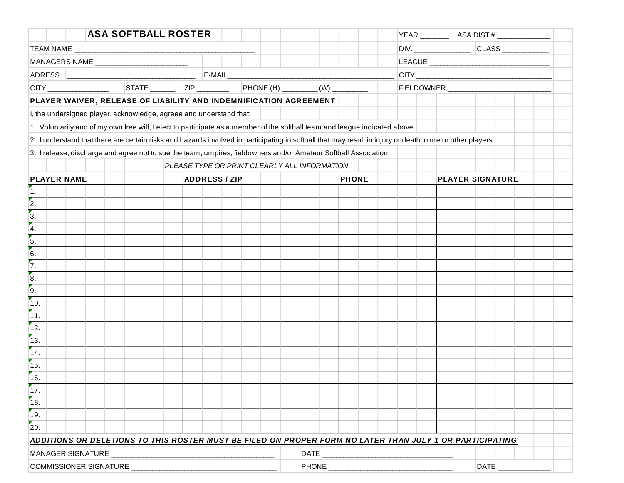|                                              |                                            | <b>ASA SOFTBALL ROSTER</b>                                                                                                                                |  |  |  |                                 |  |  |  |  |  |                         |  |  |      |  |  | YEAR __________   ASA DIST.# ________________ |  |
|----------------------------------------------|--------------------------------------------|-----------------------------------------------------------------------------------------------------------------------------------------------------------|--|--|--|---------------------------------|--|--|--|--|--|-------------------------|--|--|------|--|--|-----------------------------------------------|--|
|                                              |                                            |                                                                                                                                                           |  |  |  |                                 |  |  |  |  |  |                         |  |  |      |  |  |                                               |  |
|                                              |                                            |                                                                                                                                                           |  |  |  |                                 |  |  |  |  |  |                         |  |  |      |  |  |                                               |  |
|                                              |                                            |                                                                                                                                                           |  |  |  |                                 |  |  |  |  |  |                         |  |  |      |  |  |                                               |  |
|                                              |                                            |                                                                                                                                                           |  |  |  |                                 |  |  |  |  |  |                         |  |  |      |  |  |                                               |  |
|                                              |                                            | PLAYER WAIVER, RELEASE OF LIABILITY AND INDEMNIFICATION AGREEMENT                                                                                         |  |  |  |                                 |  |  |  |  |  |                         |  |  |      |  |  |                                               |  |
|                                              |                                            | I, the undersigned player, acknowledge, agreee and understand that:                                                                                       |  |  |  |                                 |  |  |  |  |  |                         |  |  |      |  |  |                                               |  |
|                                              |                                            | 1. Voluntarily and of my own free will, I elect to participate as a member of the softball team and league indicated above.                               |  |  |  |                                 |  |  |  |  |  |                         |  |  |      |  |  |                                               |  |
|                                              |                                            | 2. I understand that there are certain risks and hazards involved in participating in softball that may result in injury or death to me or other players. |  |  |  |                                 |  |  |  |  |  |                         |  |  |      |  |  |                                               |  |
|                                              |                                            | 3. I release, discharge and agree not to sue the team, umpires, fieldowners and/or Amateur Softball Association.                                          |  |  |  |                                 |  |  |  |  |  |                         |  |  |      |  |  |                                               |  |
| PLEASE TYPE OR PRINT CLEARLY ALL INFORMATION |                                            |                                                                                                                                                           |  |  |  |                                 |  |  |  |  |  |                         |  |  |      |  |  |                                               |  |
|                                              | <b>PLAYER NAME</b><br><b>ADDRESS / ZIP</b> |                                                                                                                                                           |  |  |  | <b>PHONE</b>                    |  |  |  |  |  | <b>PLAYER SIGNATURE</b> |  |  |      |  |  |                                               |  |
| $\vert$ 1.                                   |                                            |                                                                                                                                                           |  |  |  |                                 |  |  |  |  |  |                         |  |  |      |  |  |                                               |  |
| $\overline{\overline{\mathbf{2}}}$ .         |                                            |                                                                                                                                                           |  |  |  |                                 |  |  |  |  |  |                         |  |  |      |  |  |                                               |  |
| $\overline{3}$ .                             |                                            |                                                                                                                                                           |  |  |  |                                 |  |  |  |  |  |                         |  |  |      |  |  |                                               |  |
| $\overline{4}$ .                             |                                            |                                                                                                                                                           |  |  |  |                                 |  |  |  |  |  |                         |  |  |      |  |  |                                               |  |
| 5.                                           |                                            |                                                                                                                                                           |  |  |  |                                 |  |  |  |  |  |                         |  |  |      |  |  |                                               |  |
| 6.                                           |                                            |                                                                                                                                                           |  |  |  |                                 |  |  |  |  |  |                         |  |  |      |  |  |                                               |  |
| $\overline{7}$                               |                                            |                                                                                                                                                           |  |  |  |                                 |  |  |  |  |  |                         |  |  |      |  |  |                                               |  |
| $\overline{\overline{\mathbf{8}}}$ .         |                                            |                                                                                                                                                           |  |  |  |                                 |  |  |  |  |  |                         |  |  |      |  |  |                                               |  |
| $\overline{9}$ .                             |                                            |                                                                                                                                                           |  |  |  |                                 |  |  |  |  |  |                         |  |  |      |  |  |                                               |  |
| 10.                                          |                                            |                                                                                                                                                           |  |  |  |                                 |  |  |  |  |  |                         |  |  |      |  |  |                                               |  |
| $\boxed{11}$                                 |                                            |                                                                                                                                                           |  |  |  |                                 |  |  |  |  |  |                         |  |  |      |  |  |                                               |  |
| 12.                                          |                                            |                                                                                                                                                           |  |  |  |                                 |  |  |  |  |  |                         |  |  |      |  |  |                                               |  |
| 13.                                          |                                            |                                                                                                                                                           |  |  |  |                                 |  |  |  |  |  |                         |  |  |      |  |  |                                               |  |
| 14.                                          |                                            |                                                                                                                                                           |  |  |  |                                 |  |  |  |  |  |                         |  |  |      |  |  |                                               |  |
| 15.<br>$\overline{16}$                       |                                            |                                                                                                                                                           |  |  |  |                                 |  |  |  |  |  |                         |  |  |      |  |  |                                               |  |
| 17.                                          |                                            |                                                                                                                                                           |  |  |  |                                 |  |  |  |  |  |                         |  |  |      |  |  |                                               |  |
|                                              |                                            |                                                                                                                                                           |  |  |  |                                 |  |  |  |  |  |                         |  |  |      |  |  |                                               |  |
| 18.                                          |                                            |                                                                                                                                                           |  |  |  |                                 |  |  |  |  |  |                         |  |  |      |  |  |                                               |  |
| 19.<br>$\overline{20}$                       |                                            |                                                                                                                                                           |  |  |  |                                 |  |  |  |  |  |                         |  |  |      |  |  |                                               |  |
|                                              |                                            |                                                                                                                                                           |  |  |  |                                 |  |  |  |  |  |                         |  |  |      |  |  |                                               |  |
|                                              |                                            | ADDITIONS OR DELETIONS TO THIS ROSTER MUST BE FILED ON PROPER FORM NO LATER THAN JULY 1 OR PARTICIPATING                                                  |  |  |  |                                 |  |  |  |  |  |                         |  |  |      |  |  |                                               |  |
| <b>MANAGER SIGNATURE</b>                     |                                            |                                                                                                                                                           |  |  |  | DATE_<br>PHONE <b>All Phone</b> |  |  |  |  |  |                         |  |  |      |  |  |                                               |  |
| COMMISSIONER SIGNATURE                       |                                            |                                                                                                                                                           |  |  |  |                                 |  |  |  |  |  |                         |  |  | DATE |  |  |                                               |  |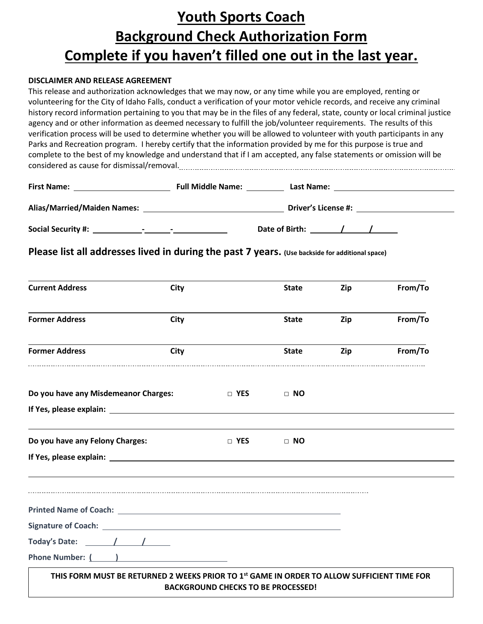## **Youth Sports Coach Background Check Authorization Form Complete if you haven't filled one out in the last year.**

#### **DISCLAIMER AND RELEASE AGREEMENT**

This release and authorization acknowledges that we may now, or any time while you are employed, renting or volunteering for the City of Idaho Falls, conduct a verification of your motor vehicle records, and receive any criminal history record information pertaining to you that may be in the files of any federal, state, county or local criminal justice agency and or other information as deemed necessary to fulfill the job/volunteer requirements. The results of this verification process will be used to determine whether you will be allowed to volunteer with youth participants in any Parks and Recreation program. I hereby certify that the information provided by me for this purpose is true and complete to the best of my knowledge and understand that if I am accepted, any false statements or omission will be considered as cause for dismissal/removal.

| <b>First Name:</b>                                                      | <b>Full Middle Name:</b> | Last Name:                 |
|-------------------------------------------------------------------------|--------------------------|----------------------------|
| <b>Alias/Married/Maiden Names:</b>                                      |                          | <b>Driver's License #:</b> |
| <b>Social Security #:</b><br>$\blacksquare$<br>$\overline{\phantom{0}}$ | Date of Birth:           |                            |

**Please list all addresses lived in during the past 7 years. (Use backside for additional space)**

| <b>Current Address</b>                                                                                 | <b>City</b> |                                           | <b>State</b> | Zip | From/To |
|--------------------------------------------------------------------------------------------------------|-------------|-------------------------------------------|--------------|-----|---------|
| <b>Former Address</b>                                                                                  | City        |                                           | <b>State</b> | Zip | From/To |
| <b>Former Address</b>                                                                                  | City        |                                           | <b>State</b> | Zip | From/To |
| Do you have any Misdemeanor Charges:                                                                   |             | <b>Example 19 YES</b>                     | $\Box$ NO    |     |         |
|                                                                                                        |             |                                           |              |     |         |
| Do you have any Felony Charges:                                                                        |             | $\Box$ YES                                | $\Box$ NO    |     |         |
|                                                                                                        |             |                                           |              |     |         |
|                                                                                                        |             |                                           |              |     |         |
|                                                                                                        |             |                                           |              |     |         |
|                                                                                                        |             |                                           |              |     |         |
| Phone Number: ( )                                                                                      |             |                                           |              |     |         |
| THIS FORM MUST BE RETURNED 2 WEEKS PRIOR TO 1 <sup>st</sup> GAME IN ORDER TO ALLOW SUFFICIENT TIME FOR |             | <b>BACKGROUND CHECKS TO BE PROCESSED!</b> |              |     |         |